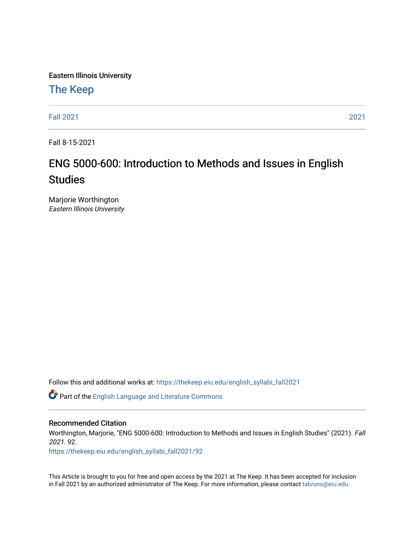Eastern Illinois University

# [The Keep](https://thekeep.eiu.edu/)

[Fall 2021](https://thekeep.eiu.edu/english_syllabi_fall2021) [2021](https://thekeep.eiu.edu/english_syllabi2021) 

Fall 8-15-2021

# ENG 5000-600: Introduction to Methods and Issues in English **Studies**

Marjorie Worthington Eastern Illinois University

Follow this and additional works at: [https://thekeep.eiu.edu/english\\_syllabi\\_fall2021](https://thekeep.eiu.edu/english_syllabi_fall2021?utm_source=thekeep.eiu.edu%2Fenglish_syllabi_fall2021%2F92&utm_medium=PDF&utm_campaign=PDFCoverPages) 

Part of the [English Language and Literature Commons](http://network.bepress.com/hgg/discipline/455?utm_source=thekeep.eiu.edu%2Fenglish_syllabi_fall2021%2F92&utm_medium=PDF&utm_campaign=PDFCoverPages)

#### Recommended Citation

Worthington, Marjorie, "ENG 5000-600: Introduction to Methods and Issues in English Studies" (2021). Fall 2021. 92.

[https://thekeep.eiu.edu/english\\_syllabi\\_fall2021/92](https://thekeep.eiu.edu/english_syllabi_fall2021/92?utm_source=thekeep.eiu.edu%2Fenglish_syllabi_fall2021%2F92&utm_medium=PDF&utm_campaign=PDFCoverPages)

This Article is brought to you for free and open access by the 2021 at The Keep. It has been accepted for inclusion in Fall 2021 by an authorized administrator of The Keep. For more information, please contact [tabruns@eiu.edu](mailto:tabruns@eiu.edu).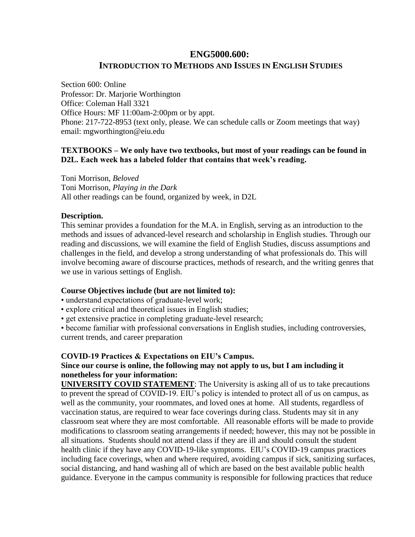## **ENG5000.600: INTRODUCTION TO METHODS AND ISSUES IN ENGLISH STUDIES**

Section 600: Online Professor: Dr. Marjorie Worthington Office: Coleman Hall 3321 Office Hours: MF 11:00am-2:00pm or by appt. Phone: 217-722-8953 (text only, please. We can schedule calls or Zoom meetings that way) email: [mgworthington@eiu.edu](mailto:mgworthington@eiu.edu)

#### **TEXTBOOKS – We only have two textbooks, but most of your readings can be found in D2L. Each week has a labeled folder that contains that week's reading.**

Toni Morrison, *Beloved* Toni Morrison, *Playing in the Dark*  All other readings can be found, organized by week, in D2L

#### **Description.**

This seminar provides a foundation for the M.A. in English, serving as an introduction to the methods and issues of advanced-level research and scholarship in English studies. Through our reading and discussions, we will examine the field of English Studies, discuss assumptions and challenges in the field, and develop a strong understanding of what professionals do. This will involve becoming aware of discourse practices, methods of research, and the writing genres that we use in various settings of English.

#### **Course Objectives include (but are not limited to):**

• understand expectations of graduate-level work;

- explore critical and theoretical issues in English studies;
- get extensive practice in completing graduate-level research;

• become familiar with professional conversations in English studies, including controversies, current trends, and career preparation

#### **COVID-19 Practices & Expectations on EIU's Campus.**

### **Since our course is online, the following may not apply to us, but I am including it nonetheless for your information:**

**UNIVERSITY COVID STATEMENT**: The University is asking all of us to take precautions to prevent the spread of COVID-19. EIU's policy is intended to protect all of us on campus, as well as the community, your roommates, and loved ones at home. All students, regardless of vaccination status, are required to wear face coverings during class. Students may sit in any classroom seat where they are most comfortable. All reasonable efforts will be made to provide modifications to classroom seating arrangements if needed; however, this may not be possible in all situations. Students should not attend class if they are ill and should consult the student health clinic if they have any COVID-19-like symptoms. EIU's COVID-19 campus practices including face coverings, when and where required, avoiding campus if sick, sanitizing surfaces, social distancing, and hand washing all of which are based on the best available public health guidance. Everyone in the campus community is responsible for following practices that reduce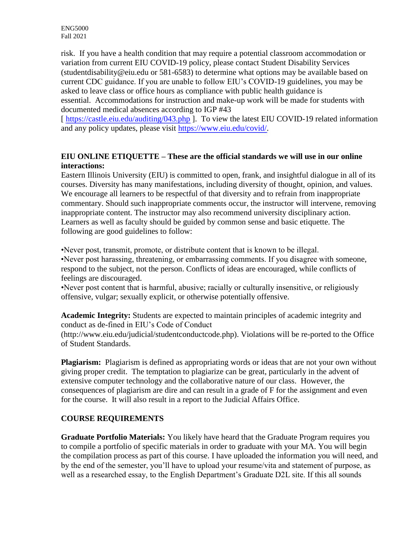risk. If you have a health condition that may require a potential classroom accommodation or variation from current EIU COVID-19 policy, please contact Student Disability Services (studentdisability@eiu.edu or 581-6583) to determine what options may be available based on current CDC guidance. If you are unable to follow EIU's COVID-19 guidelines, you may be asked to leave class or office hours as compliance with public health guidance is essential. Accommodations for instruction and make-up work will be made for students with documented medical absences according to IGP #43

[https://castle.eiu.edu/auditing/043.php ]. To view the latest EIU COVID-19 related information and any policy updates, please visit [https://www.eiu.edu/covid/.](https://www.eiu.edu/covid/)

#### **EIU ONLINE ETIQUETTE – These are the official standards we will use in our online interactions:**

Eastern Illinois University (EIU) is committed to open, frank, and insightful dialogue in all of its courses. Diversity has many manifestations, including diversity of thought, opinion, and values. We encourage all learners to be respectful of that diversity and to refrain from inappropriate commentary. Should such inappropriate comments occur, the instructor will intervene, removing inappropriate content. The instructor may also recommend university disciplinary action. Learners as well as faculty should be guided by common sense and basic etiquette. The following are good guidelines to follow:

•Never post, transmit, promote, or distribute content that is known to be illegal. •Never post harassing, threatening, or embarrassing comments. If you disagree with someone, respond to the subject, not the person. Conflicts of ideas are encouraged, while conflicts of feelings are discouraged.

•Never post content that is harmful, abusive; racially or culturally insensitive, or religiously offensive, vulgar; sexually explicit, or otherwise potentially offensive.

**Academic Integrity:** Students are expected to maintain principles of academic integrity and conduct as de-fined in EIU's Code of Conduct (http://www.eiu.edu/judicial/studentconductcode.php). Violations will be re-ported to the Office of Student Standards.

**Plagiarism:** Plagiarism is defined as appropriating words or ideas that are not your own without giving proper credit. The temptation to plagiarize can be great, particularly in the advent of extensive computer technology and the collaborative nature of our class. However, the consequences of plagiarism are dire and can result in a grade of F for the assignment and even for the course. It will also result in a report to the Judicial Affairs Office.

## **COURSE REQUIREMENTS**

**Graduate Portfolio Materials:** You likely have heard that the Graduate Program requires you to compile a portfolio of specific materials in order to graduate with your MA. You will begin the compilation process as part of this course. I have uploaded the information you will need, and by the end of the semester, you'll have to upload your resume/vita and statement of purpose, as well as a researched essay, to the English Department's Graduate D2L site. If this all sounds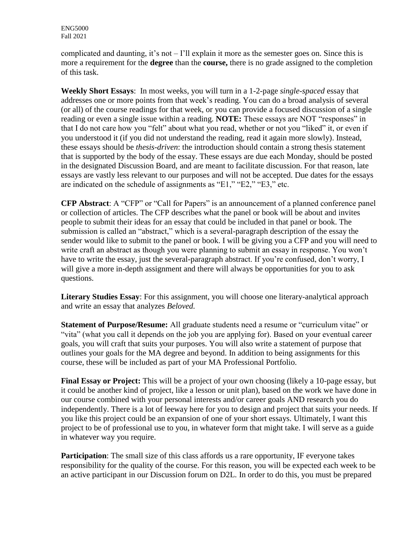complicated and daunting, it's not  $-1$ 'll explain it more as the semester goes on. Since this is more a requirement for the **degree** than the **course,** there is no grade assigned to the completion of this task.

**Weekly Short Essays**: In most weeks, you will turn in a 1-2-page *single-spaced* essay that addresses one or more points from that week's reading. You can do a broad analysis of several (or all) of the course readings for that week, or you can provide a focused discussion of a single reading or even a single issue within a reading. **NOTE:** These essays are NOT "responses" in that I do not care how you "felt" about what you read, whether or not you "liked" it, or even if you understood it (if you did not understand the reading, read it again more slowly). Instead, these essays should be *thesis-driven*: the introduction should contain a strong thesis statement that is supported by the body of the essay. These essays are due each Monday, should be posted in the designated Discussion Board, and are meant to facilitate discussion. For that reason, late essays are vastly less relevant to our purposes and will not be accepted. Due dates for the essays are indicated on the schedule of assignments as "E1," "E2," "E3," etc.

**CFP Abstract**: A "CFP" or "Call for Papers" is an announcement of a planned conference panel or collection of articles. The CFP describes what the panel or book will be about and invites people to submit their ideas for an essay that could be included in that panel or book. The submission is called an "abstract," which is a several-paragraph description of the essay the sender would like to submit to the panel or book. I will be giving you a CFP and you will need to write craft an abstract as though you were planning to submit an essay in response. You won't have to write the essay, just the several-paragraph abstract. If you're confused, don't worry, I will give a more in-depth assignment and there will always be opportunities for you to ask questions.

**Literary Studies Essay**: For this assignment, you will choose one literary-analytical approach and write an essay that analyzes *Beloved.*

**Statement of Purpose/Resume:** All graduate students need a resume or "curriculum vitae" or "vita" (what you call it depends on the job you are applying for). Based on your eventual career goals, you will craft that suits your purposes. You will also write a statement of purpose that outlines your goals for the MA degree and beyond. In addition to being assignments for this course, these will be included as part of your MA Professional Portfolio.

**Final Essay or Project:** This will be a project of your own choosing (likely a 10-page essay, but it could be another kind of project, like a lesson or unit plan), based on the work we have done in our course combined with your personal interests and/or career goals AND research you do independently. There is a lot of leeway here for you to design and project that suits your needs. If you like this project could be an expansion of one of your short essays. Ultimately, I want this project to be of professional use to you, in whatever form that might take. I will serve as a guide in whatever way you require.

**Participation**: The small size of this class affords us a rare opportunity, IF everyone takes responsibility for the quality of the course. For this reason, you will be expected each week to be an active participant in our Discussion forum on D2L. In order to do this, you must be prepared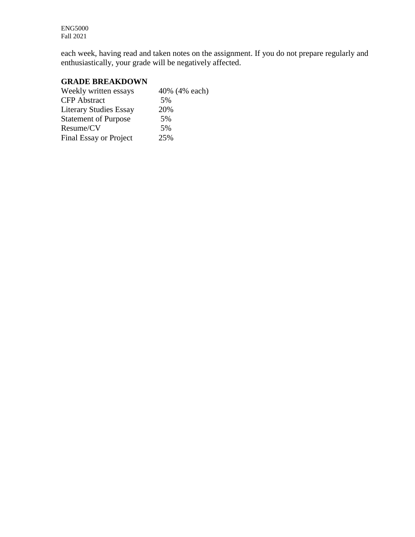each week, having read and taken notes on the assignment. If you do not prepare regularly and enthusiastically, your grade will be negatively affected.

#### **GRADE BREAKDOWN**

| Weekly written essays         | 40% (4% each) |
|-------------------------------|---------------|
| <b>CFP</b> Abstract           | 5%            |
| <b>Literary Studies Essay</b> | 20%           |
| <b>Statement of Purpose</b>   | 5%            |
| Resume/CV                     | 5%            |
| <b>Final Essay or Project</b> | 25%           |
|                               |               |